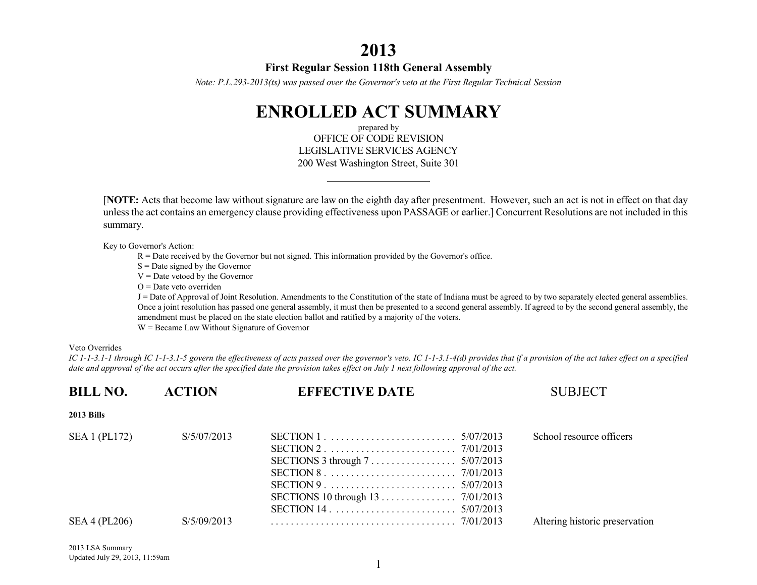## **2013**

### **First Regular Session 118th General Assembly**

*Note: P.L.293-2013(ts) was passed over the Governor's veto at the First Regular Technical Session*

# **ENROLLED ACT SUMMARY**

prepared by OFFICE OF CODE REVISION LEGISLATIVE SERVICES AGENCY 200 West Washington Street, Suite 301

[**NOTE:** Acts that become law without signature are law on the eighth day after presentment. However, such an act is not in effect on that day unless the act contains an emergency clause providing effectiveness upon PASSAGE or earlier.] Concurrent Resolutions are not included in this summary.

Key to Governor's Action:

R = Date received by the Governor but not signed. This information provided by the Governor's office.

 $S =$ Date signed by the Governor

 $V =$ Date vetoed by the Governor

 $O =$ Date veto overriden

J = Date of Approval of Joint Resolution. Amendments to the Constitution of the state of Indiana must be agreed to by two separately elected general assemblies. Once a joint resolution has passed one general assembly, it must then be presented to a second general assembly. If agreed to by the second general assembly, the amendment must be placed on the state election ballot and ratified by a majority of the voters.

W = Became Law Without Signature of Governor

### Veto Overrides

*IC 1-1-3.1-1 through IC 1-1-3.1-5 govern the effectiveness of acts passed over the governor's veto. IC 1-1-3.1-4(d) provides that if a provision of the act takes effect on a specified date and approval of the act occurs after the specified date the provision takes effect on July 1 next following approval of the act.*

| <b>BILL NO.</b>      | <b>ACTION</b> | <b>EFFECTIVE DATE</b>                                                      | <b>SUBJECT</b>                 |
|----------------------|---------------|----------------------------------------------------------------------------|--------------------------------|
| <b>2013 Bills</b>    |               |                                                                            |                                |
| SEA 1 (PL172)        | S/5/07/2013   | SECTIONS 3 through $7 \ldots \ldots \ldots \ldots \ldots \ldots 5/07/2013$ | School resource officers       |
| <b>SEA 4 (PL206)</b> | S/5/09/2013   |                                                                            | Altering historic preservation |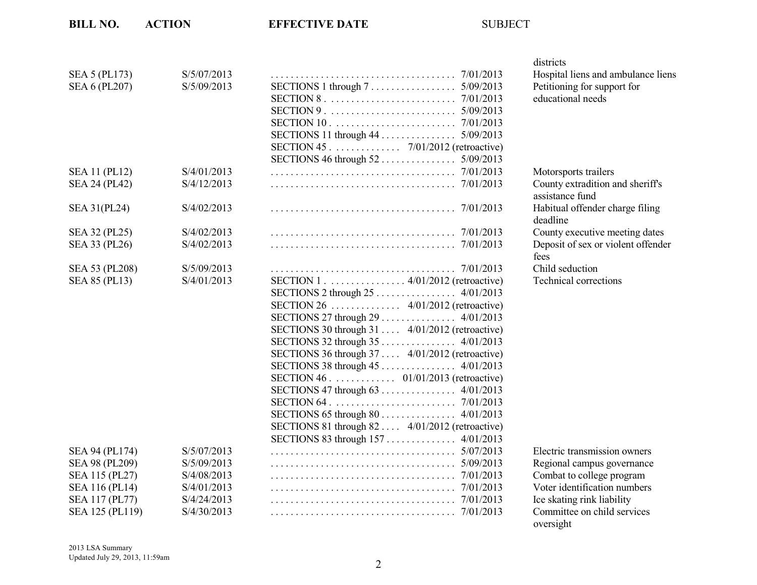|                      |             |                                                 | uisti ius                                   |
|----------------------|-------------|-------------------------------------------------|---------------------------------------------|
| SEA 5 (PL173)        | S/5/07/2013 |                                                 | Hospital liens and ambulance lier           |
| <b>SEA 6 (PL207)</b> | S/5/09/2013 | SECTIONS 1 through 7 5/09/2013                  | Petitioning for support for                 |
|                      |             |                                                 | educational needs                           |
|                      |             |                                                 |                                             |
|                      |             |                                                 |                                             |
|                      |             |                                                 |                                             |
|                      |             | SECTION 45 7/01/2012 (retroactive)              |                                             |
|                      |             |                                                 |                                             |
| <b>SEA 11 (PL12)</b> | S/4/01/2013 |                                                 | Motorsports trailers                        |
| <b>SEA 24 (PL42)</b> | S/4/12/2013 |                                                 | County extradition and sheriff's            |
|                      |             |                                                 | assistance fund                             |
| SEA 31(PL24)         | S/4/02/2013 |                                                 | Habitual offender charge filing<br>deadline |
| SEA 32 (PL25)        | S/4/02/2013 |                                                 | County executive meeting dates              |
| SEA 33 (PL26)        | S/4/02/2013 |                                                 | Deposit of sex or violent offender          |
|                      |             |                                                 | fees                                        |
| SEA 53 (PL208)       | S/5/09/2013 |                                                 | Child seduction                             |
| <b>SEA 85 (PL13)</b> | S/4/01/2013 | SECTION 1 4/01/2012 (retroactive)               | <b>Technical corrections</b>                |
|                      |             |                                                 |                                             |
|                      |             |                                                 |                                             |
|                      |             |                                                 |                                             |
|                      |             | SECTIONS 30 through 31  4/01/2012 (retroactive) |                                             |
|                      |             |                                                 |                                             |
|                      |             | SECTIONS 36 through 37  4/01/2012 (retroactive) |                                             |
|                      |             |                                                 |                                             |
|                      |             | SECTION 46 01/01/2013 (retroactive)             |                                             |
|                      |             |                                                 |                                             |
|                      |             |                                                 |                                             |
|                      |             |                                                 |                                             |
|                      |             | SECTIONS 81 through 82  4/01/2012 (retroactive) |                                             |
|                      |             | SECTIONS 83 through 157  4/01/2013              |                                             |
| SEA 94 (PL174)       | S/5/07/2013 |                                                 | Electric transmission owners                |
| SEA 98 (PL209)       | S/5/09/2013 |                                                 | Regional campus governance                  |
| SEA 115 (PL27)       | S/4/08/2013 |                                                 | Combat to college program                   |
| SEA 116 (PL14)       | S/4/01/2013 |                                                 | Voter identification numbers                |
| SEA 117 (PL77)       | S/4/24/2013 |                                                 | Ice skating rink liability                  |
| SEA 125 (PL119)      | S/4/30/2013 |                                                 | Committee on child services                 |

districts Hospital liens and ambulance liens Petitioning for support for educational needs

| Motorsports trailers               |
|------------------------------------|
| County extradition and sheriff's   |
| assistance fund                    |
| Habitual offender charge filing    |
| deadline                           |
| County executive meeting dates     |
| Deposit of sex or violent offender |
| fees                               |
| Child seduction                    |
| <b>Technical corrections</b>       |

Electric transmission owners Regional campus governance Combat to college program Voter identification numbers Ice skating rink liability Committee on child services oversight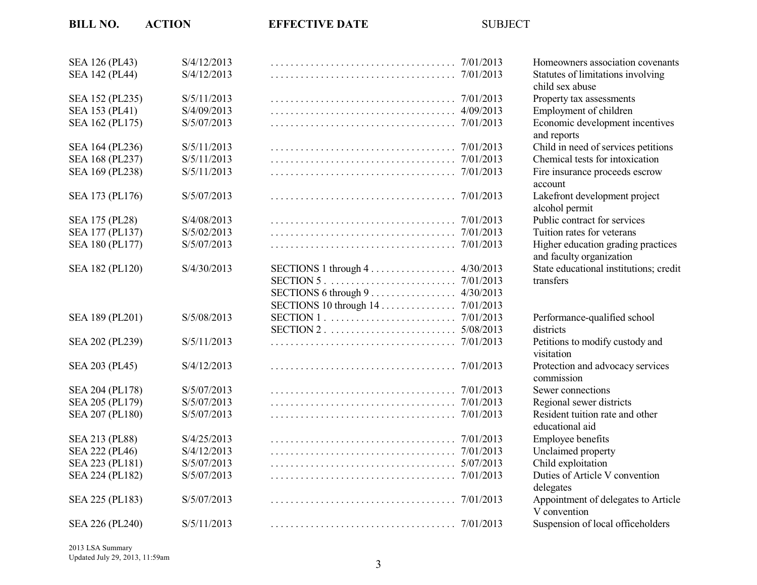| SEA 126 (PL43)        | S/4/12/2013 |                                       | Homeow          |
|-----------------------|-------------|---------------------------------------|-----------------|
| <b>SEA 142 (PL44)</b> | S/4/12/2013 |                                       | <b>Statutes</b> |
|                       |             |                                       | child sex       |
| SEA 152 (PL235)       | S/5/11/2013 | 7/01/2013                             | Property        |
| SEA 153 (PL41)        | S/4/09/2013 | 4/09/2013                             | Employr         |
| SEA 162 (PL175)       | S/5/07/2013 | 7/01/2013                             | Economi         |
|                       |             |                                       | and repo        |
| SEA 164 (PL236)       | S/5/11/2013 | 7/01/2013                             | Child in        |
| SEA 168 (PL237)       | S/5/11/2013 | 7/01/2013                             | Chemica         |
| SEA 169 (PL238)       | S/5/11/2013 | 7/01/2013                             | Fire insu       |
|                       |             |                                       | account         |
| SEA 173 (PL176)       | S/5/07/2013 | 7/01/2013                             | Lakefror        |
|                       |             |                                       | alcohol p       |
| SEA 175 (PL28)        | S/4/08/2013 |                                       | Public co       |
| SEA 177 (PL137)       | S/5/02/2013 |                                       | Tuition r       |
| SEA 180 (PL177)       | S/5/07/2013 | 7/01/2013                             | Higher e        |
|                       |             |                                       | and facu        |
| SEA 182 (PL120)       | S/4/30/2013 | SECTIONS $1$ through $4$<br>4/30/2013 | State edu       |
|                       |             | 7/01/2013                             | transfers       |
|                       |             | 4/30/2013<br>SECTIONS 6 through 9     |                 |
|                       |             | SECTIONS 10 through 14.<br>7/01/2013  |                 |
| SEA 189 (PL201)       | S/5/08/2013 | 7/01/2013                             | Performa        |
|                       |             | 5/08/2013                             | districts       |
| SEA 202 (PL239)       | S/5/11/2013 | 7/01/2013                             | Petitions       |
|                       |             |                                       | visitation      |
| SEA 203 (PL45)        | S/4/12/2013 | 7/01/2013                             | Protectic       |
|                       |             |                                       | commiss         |
| SEA 204 (PL178)       | S/5/07/2013 | 7/01/2013                             | Sewer co        |
| SEA 205 (PL179)       | S/5/07/2013 | 7/01/2013                             | Regional        |
| SEA 207 (PL180)       | S/5/07/2013 | 7/01/2013                             | Resident        |
|                       |             |                                       | educatio        |
| SEA 213 (PL88)        | S/4/25/2013 | 7/01/2013                             | Employe         |
| SEA 222 (PL46)        | S/4/12/2013 | 7/01/2013                             | Unclaim         |
| SEA 223 (PL181)       | S/5/07/2013 | 5/07/2013                             | Child ex        |
| SEA 224 (PL182)       | S/5/07/2013 | 7/01/2013                             | Duties of       |
|                       |             |                                       | delegate        |
| SEA 225 (PL183)       | S/5/07/2013 | 7/01/2013                             | Appoint         |
|                       |             |                                       | V conve         |
| SEA 226 (PL240)       | S/5/11/2013 |                                       | Suspensi        |
|                       |             |                                       |                 |

3 Homeowners association covenants 3 Statutes of limitations involving child sex abuse 3 Property tax assessments 3 Employment of children 3 Economic development incentives and reports 3 Child in need of services petitions 3 Chemical tests for intoxication  $3 \text{ Fire insurance proceeds escrow}$ account Lakefront development project alcohol permit 3 Public contract for services 3 Tuition rates for veterans  $B \rightarrow$  Higher education grading practices and faculty organization State educational institutions; credit

3 Performance-qualified school Bea 3 **5** 202 **11** 202 (Petitions to modify custody and visitation Protection and advocacy services commission Sewer connections 3 Regional sewer districts Resident tuition rate and other educational aid 3 Employee benefits 3 Unclaimed property 3 Child exploitation Duties of Article V convention delegates Appointment of delegates to Article V convention Suspension of local officeholders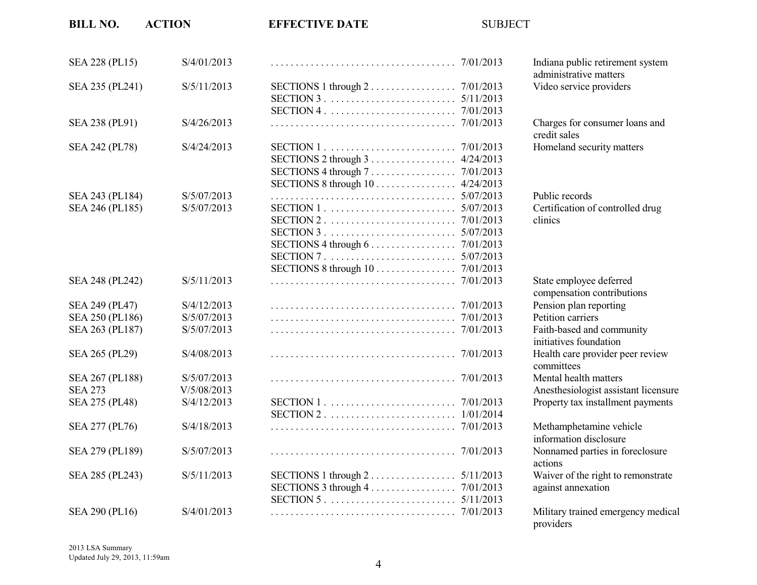| <b>BILL NO.</b> | <b>ACTION</b> | <b>EFFECTIVE DATE</b>                                                      | <b>SUBJECT</b> |                                                            |
|-----------------|---------------|----------------------------------------------------------------------------|----------------|------------------------------------------------------------|
| SEA 228 (PL15)  | S/4/01/2013   |                                                                            |                | Indiana public retirement system<br>administrative matters |
| SEA 235 (PL241) | S/5/11/2013   | SECTIONS 1 through $2 \ldots \ldots \ldots \ldots \ldots \ldots$ 7/01/2013 |                | Video service providers                                    |
|                 |               |                                                                            |                |                                                            |
|                 |               |                                                                            |                |                                                            |
| SEA 238 (PL91)  | S/4/26/2013   |                                                                            |                | Charges for consumer loans and<br>credit sales             |
| SEA 242 (PL78)  | S/4/24/2013   |                                                                            |                | Homeland security matters                                  |
|                 |               |                                                                            | 4/24/2013      |                                                            |
|                 |               |                                                                            |                |                                                            |
|                 |               | SECTIONS 8 through 10 4/24/2013                                            |                |                                                            |
| SEA 243 (PL184) | S/5/07/2013   |                                                                            |                | Public records                                             |
| SEA 246 (PL185) | S/5/07/2013   |                                                                            |                | Certification of controlled drug                           |
|                 |               |                                                                            |                | clinics                                                    |
|                 |               |                                                                            |                |                                                            |
|                 |               | SECTIONS 4 through $6 \ldots \ldots \ldots \ldots$                         | 7/01/2013      |                                                            |
|                 |               |                                                                            | 5/07/2013      |                                                            |
|                 |               | SECTIONS 8 through 10 7/01/2013                                            |                |                                                            |
| SEA 248 (PL242) | S/5/11/2013   |                                                                            |                | State employee deferred<br>compensation contributions      |
| SEA 249 (PL47)  | S/4/12/2013   |                                                                            |                | Pension plan reporting                                     |
| SEA 250 (PL186) | S/5/07/2013   |                                                                            |                | Petition carriers                                          |
| SEA 263 (PL187) | S/5/07/2013   |                                                                            |                | Faith-based and community<br>initiatives foundation        |
| SEA 265 (PL29)  | S/4/08/2013   |                                                                            |                | Health care provider peer review<br>committees             |
| SEA 267 (PL188) | S/5/07/2013   |                                                                            |                | Mental health matters                                      |
| <b>SEA 273</b>  | V/5/08/2013   |                                                                            |                | Anesthesiologist assistant licensure                       |
| SEA 275 (PL48)  | S/4/12/2013   |                                                                            |                | Property tax installment payments                          |
|                 |               |                                                                            |                |                                                            |
| SEA 277 (PL76)  | S/4/18/2013   |                                                                            | 7/01/2013      | Methamphetamine vehicle<br>information disclosure          |
| SEA 279 (PL189) | S/5/07/2013   |                                                                            | 7/01/2013      | Nonnamed parties in foreclosure<br>actions                 |
| SEA 285 (PL243) | S/5/11/2013   | SECTIONS $1$ through $2$                                                   | 5/11/2013      | Waiver of the right to remonstrate                         |
|                 |               |                                                                            |                | against annexation                                         |
|                 |               |                                                                            |                |                                                            |
| SEA 290 (PL16)  | S/4/01/2013   |                                                                            |                | Military trained emergency medical<br>providers            |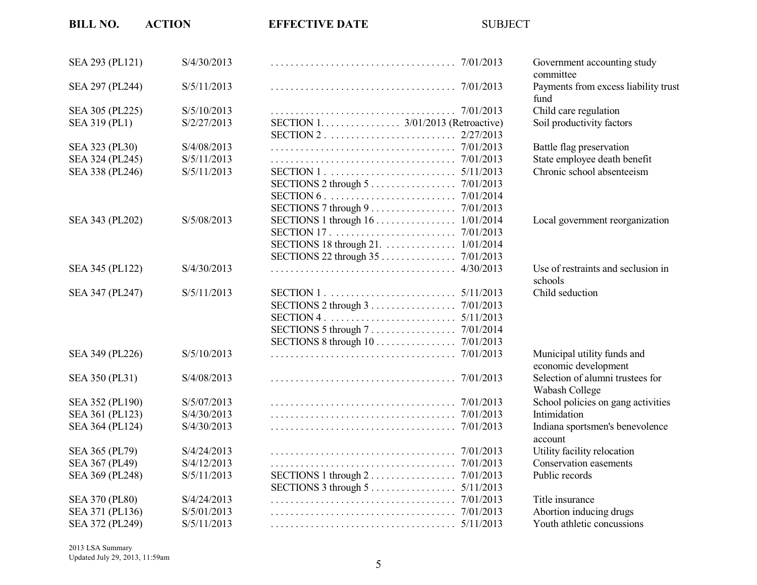| <b>BILL NO.</b>       | <b>ACTION</b> | <b>EFFECTIVE DATE</b>                                                      | <b>SUBJECT</b> |                                                            |
|-----------------------|---------------|----------------------------------------------------------------------------|----------------|------------------------------------------------------------|
| SEA 293 (PL121)       | S/4/30/2013   |                                                                            |                | Government accounting study                                |
| SEA 297 (PL244)       | S/5/11/2013   |                                                                            |                | committee<br>Payments from excess liability trust          |
|                       |               |                                                                            |                | fund                                                       |
| SEA 305 (PL225)       | S/5/10/2013   |                                                                            |                | Child care regulation                                      |
| SEA 319 (PL1)         | S/2/27/2013   | SECTION 1. 3/01/2013 (Retroactive)                                         | 2/27/2013      | Soil productivity factors                                  |
| SEA 323 (PL30)        | S/4/08/2013   |                                                                            | 7/01/2013      | Battle flag preservation                                   |
|                       |               |                                                                            |                |                                                            |
| SEA 324 (PL245)       | S/5/11/2013   |                                                                            |                | State employee death benefit<br>Chronic school absenteeism |
| SEA 338 (PL246)       | S/5/11/2013   |                                                                            |                |                                                            |
|                       |               | SECTIONS 2 through 5 7/01/2013                                             |                |                                                            |
|                       |               |                                                                            |                |                                                            |
|                       |               | SECTIONS 7 through 9 7/01/2013                                             |                |                                                            |
| SEA 343 (PL202)       | S/5/08/2013   |                                                                            |                | Local government reorganization                            |
|                       |               |                                                                            | 7/01/2013      |                                                            |
|                       |               | SECTIONS 18 through 21. 1/01/2014                                          |                |                                                            |
|                       |               | SECTIONS 22 through 35 7/01/2013                                           |                |                                                            |
| SEA 345 (PL122)       | S/4/30/2013   |                                                                            |                | Use of restraints and seclusion in<br>schools              |
| SEA 347 (PL247)       | S/5/11/2013   |                                                                            |                | Child seduction                                            |
|                       |               | SECTIONS 2 through $3 \ldots \ldots \ldots \ldots \ldots \ldots$ 7/01/2013 |                |                                                            |
|                       |               |                                                                            |                |                                                            |
|                       |               | SECTIONS 5 through 7 7/01/2014                                             |                |                                                            |
|                       |               | SECTIONS 8 through 10                                                      | 7/01/2013      |                                                            |
| SEA 349 (PL226)       | S/5/10/2013   |                                                                            | 7/01/2013      | Municipal utility funds and<br>economic development        |
| SEA 350 (PL31)        | S/4/08/2013   |                                                                            |                | Selection of alumni trustees for<br>Wabash College         |
| SEA 352 (PL190)       | S/5/07/2013   |                                                                            |                | School policies on gang activities                         |
| SEA 361 (PL123)       | S/4/30/2013   |                                                                            |                | Intimidation                                               |
| SEA 364 (PL124)       | S/4/30/2013   |                                                                            |                | Indiana sportsmen's benevolence                            |
|                       |               |                                                                            |                | account                                                    |
| SEA 365 (PL79)        | S/4/24/2013   |                                                                            | 7/01/2013      | Utility facility relocation                                |
| SEA 367 (PL49)        | S/4/12/2013   |                                                                            |                | Conservation easements                                     |
| SEA 369 (PL248)       | S/5/11/2013   |                                                                            |                | Public records                                             |
|                       |               | SECTIONS 3 through $5 \ldots \ldots \ldots \ldots \ldots \ldots 5/11/2013$ |                |                                                            |
| <b>SEA 370 (PL80)</b> | S/4/24/2013   |                                                                            |                | Title insurance                                            |
| SEA 371 (PL136)       | S/5/01/2013   |                                                                            |                | Abortion inducing drugs                                    |
| SEA 372 (PL249)       | S/5/11/2013   |                                                                            |                | Youth athletic concussions                                 |

2013 LSA Summary Updated July 29, 2013, 11:59am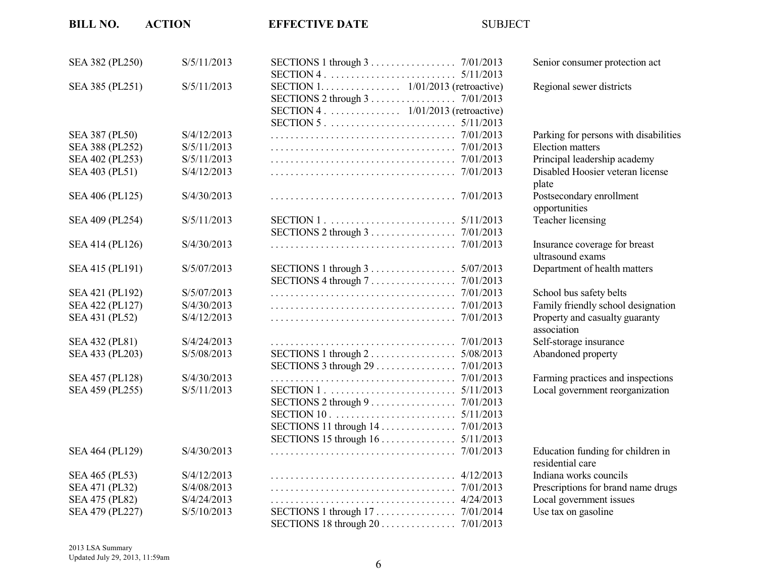| <b>BILL NO.</b> | <b>ACTION</b> | <b>EFFECTIVE DATE</b>                                                      | <b>SUBJECT</b> |                                                       |
|-----------------|---------------|----------------------------------------------------------------------------|----------------|-------------------------------------------------------|
| SEA 382 (PL250) | S/5/11/2013   |                                                                            |                | Senior consumer protection act                        |
|                 |               |                                                                            |                |                                                       |
| SEA 385 (PL251) | S/5/11/2013   | SECTION 1. 1/01/2013 (retroactive)                                         |                | Regional sewer districts                              |
|                 |               | SECTIONS 2 through 3 7/01/2013<br>SECTION 4. 1/01/2013 (retroactive)       |                |                                                       |
|                 |               |                                                                            |                |                                                       |
| SEA 387 (PL50)  | S/4/12/2013   |                                                                            |                | Parking for persons with disabilities                 |
| SEA 388 (PL252) | S/5/11/2013   |                                                                            |                | <b>Election</b> matters                               |
| SEA 402 (PL253) | S/5/11/2013   |                                                                            |                | Principal leadership academy                          |
| SEA 403 (PL51)  | S/4/12/2013   |                                                                            |                | Disabled Hoosier veteran license                      |
|                 |               |                                                                            |                | plate                                                 |
| SEA 406 (PL125) | S/4/30/2013   |                                                                            |                | Postsecondary enrollment                              |
|                 |               |                                                                            |                | opportunities                                         |
| SEA 409 (PL254) | S/5/11/2013   |                                                                            |                | Teacher licensing                                     |
|                 |               | SECTIONS 2 through 3 7/01/2013                                             |                |                                                       |
| SEA 414 (PL126) | S/4/30/2013   |                                                                            |                | Insurance coverage for breast<br>ultrasound exams     |
| SEA 415 (PL191) | S/5/07/2013   | SECTIONS 1 through $3 \ldots \ldots \ldots \ldots \ldots \ldots 5/07/2013$ |                | Department of health matters                          |
|                 |               |                                                                            |                |                                                       |
| SEA 421 (PL192) | S/5/07/2013   |                                                                            |                | School bus safety belts                               |
| SEA 422 (PL127) | S/4/30/2013   |                                                                            | 7/01/2013      | Family friendly school designation                    |
| SEA 431 (PL52)  | S/4/12/2013   |                                                                            | 7/01/2013      | Property and casualty guaranty<br>association         |
| SEA 432 (PL81)  | S/4/24/2013   |                                                                            | 7/01/2013      | Self-storage insurance                                |
| SEA 433 (PL203) | S/5/08/2013   | SECTIONS 1 through 2                                                       | 5/08/2013      | Abandoned property                                    |
|                 |               | SECTIONS 3 through 29 7/01/2013                                            |                |                                                       |
| SEA 457 (PL128) | S/4/30/2013   |                                                                            |                | Farming practices and inspections                     |
| SEA 459 (PL255) | S/5/11/2013   |                                                                            |                | Local government reorganization                       |
|                 |               | SECTIONS 2 through 9 7/01/2013                                             |                |                                                       |
|                 |               |                                                                            | 5/11/2013      |                                                       |
|                 |               | SECTIONS 11 through 14 7/01/2013                                           |                |                                                       |
|                 |               |                                                                            |                |                                                       |
| SEA 464 (PL129) | S/4/30/2013   |                                                                            |                | Education funding for children in<br>residential care |
| SEA 465 (PL53)  | S/4/12/2013   |                                                                            |                | Indiana works councils                                |
| SEA 471 (PL32)  | S/4/08/2013   |                                                                            |                | Prescriptions for brand name drugs                    |
| SEA 475 (PL82)  | S/4/24/2013   |                                                                            | 4/24/2013      | Local government issues                               |
| SEA 479 (PL227) | S/5/10/2013   |                                                                            |                | Use tax on gasoline                                   |
|                 |               | SECTIONS 18 through 20 7/01/2013                                           |                |                                                       |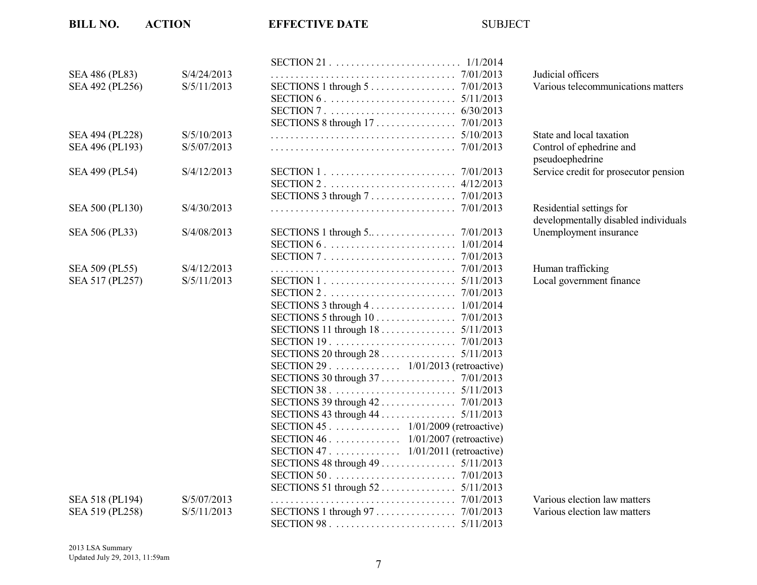| SEA 486 (PL83)  | S/4/24/2013 |                                                                                   |
|-----------------|-------------|-----------------------------------------------------------------------------------|
| SEA 492 (PL256) | S/5/11/2013 | SECTIONS 1 through $5 \ldots \ldots \ldots \ldots \ldots \ldots$ 7/01/2013        |
|                 |             | 5/11/2013                                                                         |
|                 |             | 6/30/2013                                                                         |
|                 |             |                                                                                   |
| SEA 494 (PL228) | S/5/10/2013 | 5/10/2013                                                                         |
| SEA 496 (PL193) | S/5/07/2013 | 7/01/2013                                                                         |
| SEA 499 (PL54)  | S/4/12/2013 |                                                                                   |
|                 |             | 4/12/2013                                                                         |
|                 |             | SECTIONS 3 through 7 7/01/2013                                                    |
| SEA 500 (PL130) | S/4/30/2013 | 7/01/2013                                                                         |
| SEA 506 (PL33)  | S/4/08/2013 | SECTIONS 1 through $5 \ldots \ldots \ldots \ldots \ldots \ldots \ldots$ 7/01/2013 |
|                 |             | 1/01/2014                                                                         |
|                 |             | 7/01/2013                                                                         |
| SEA 509 (PL55)  | S/4/12/2013 | 7/01/2013                                                                         |
| SEA 517 (PL257) | S/5/11/2013 |                                                                                   |
|                 |             |                                                                                   |
|                 |             | SECTIONS 3 through $4 \ldots \ldots \ldots \ldots \ldots \ldots 1/01/2014$        |
|                 |             | SECTIONS 5 through 10 7/01/2013                                                   |
|                 |             | SECTIONS 11 through $18$<br>5/11/2013                                             |
|                 |             | 7/01/2013                                                                         |
|                 |             | SECTIONS 20 through 28<br>5/11/2013                                               |
|                 |             | SECTION 29 1/01/2013 (retroactive)                                                |
|                 |             |                                                                                   |
|                 |             |                                                                                   |
|                 |             |                                                                                   |
|                 |             |                                                                                   |
|                 |             | SECTION 45 1/01/2009 (retroactive)                                                |
|                 |             | SECTION 46 1/01/2007 (retroactive)                                                |
|                 |             | SECTION 47 1/01/2011 (retroactive)                                                |
|                 |             |                                                                                   |
|                 |             |                                                                                   |
|                 |             |                                                                                   |
| SEA 518 (PL194) | S/5/07/2013 |                                                                                   |
| SEA 519 (PL258) | S/5/11/2013 |                                                                                   |
|                 |             |                                                                                   |

Judicial officers Various telecommunications matters

State and local taxation Control of ephedrine and pseudoephedrine Service credit for prosecutor pension

Residential settings for developmentally disabled individuals Unemployment insurance

Human trafficking Local government finance

Various election law matters Various election law matters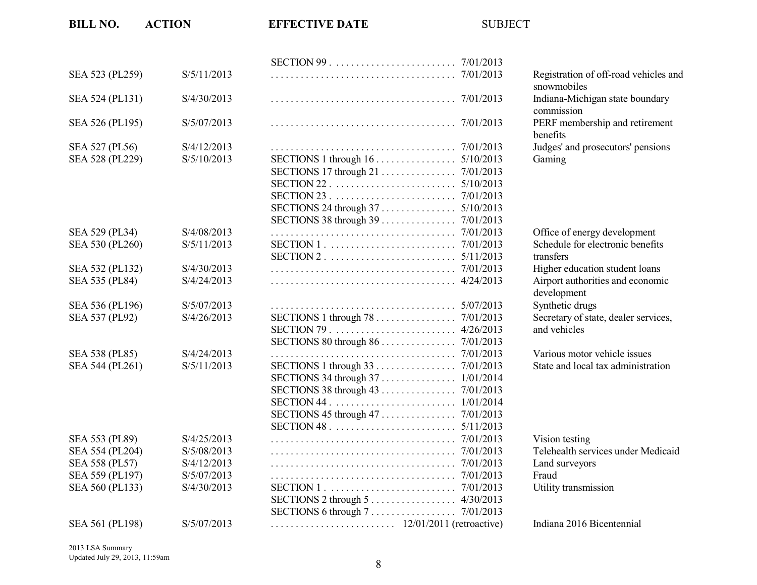| SEA 523 (PL259) | S/5/11/2013 |                                       | Registration o             |
|-----------------|-------------|---------------------------------------|----------------------------|
|                 |             |                                       | snowmobiles                |
| SEA 524 (PL131) | S/4/30/2013 |                                       | Indiana-Mich<br>commission |
| SEA 526 (PL195) | S/5/07/2013 |                                       | PERF membe                 |
|                 |             |                                       | benefits                   |
| SEA 527 (PL56)  | S/4/12/2013 |                                       | Judges' and pi             |
| SEA 528 (PL229) | S/5/10/2013 | SECTIONS 1 through 16 5/10/2013       | Gaming                     |
|                 |             |                                       |                            |
|                 |             |                                       |                            |
|                 |             |                                       |                            |
|                 |             |                                       |                            |
|                 |             |                                       |                            |
| SEA 529 (PL34)  | S/4/08/2013 |                                       | Office of ener             |
| SEA 530 (PL260) | S/5/11/2013 | 7/01/2013                             | Schedule for e             |
|                 |             | 5/11/2013                             | transfers                  |
| SEA 532 (PL132) | S/4/30/2013 | 7/01/2013                             | Higher educat              |
| SEA 535 (PL84)  | S/4/24/2013 | 4/24/2013                             | Airport author             |
|                 |             |                                       | development                |
| SEA 536 (PL196) | S/5/07/2013 |                                       | Synthetic drug             |
| SEA 537 (PL92)  | S/4/26/2013 | SECTIONS 1 through 78 7/01/2013       | Secretary of s             |
|                 |             |                                       | and vehicles               |
|                 |             |                                       |                            |
| SEA 538 (PL85)  | S/4/24/2013 |                                       | Various moto               |
| SEA 544 (PL261) | S/5/11/2013 | SECTIONS 1 through 33 7/01/2013       | State and loca             |
|                 |             | SECTIONS 34 through 37 1/01/2014      |                            |
|                 |             |                                       |                            |
|                 |             | 1/01/2014                             |                            |
|                 |             | 7/01/2013<br>SECTIONS 45 through $47$ |                            |
|                 |             | 5/11/2013                             |                            |
| SEA 553 (PL89)  | S/4/25/2013 | 7/01/2013                             | Vision testing             |
| SEA 554 (PL204) | S/5/08/2013 | 7/01/2013                             | Telehealth ser             |
| SEA 558 (PL57)  | S/4/12/2013 | 7/01/2013                             | Land surveyor              |
| SEA 559 (PL197) | S/5/07/2013 | 7/01/2013                             | Fraud                      |
| SEA 560 (PL133) | S/4/30/2013 |                                       | Utility transm             |
|                 |             | SECTIONS 2 through 5 4/30/2013        |                            |
|                 |             |                                       |                            |
| SEA 561 (PL198) | S/5/07/2013 |                                       | Indiana 2016               |

snowmobiles Indiana-Michigan state boundary commission PERF membership and retirement benefits Judges' and prosecutors' pensions<br>Gaming

Registration of off-road vehicles and

Office of energy development Schedule for electronic benefits Higher education student loans Airport authorities and economic development Synthetic drugs Secretary of state, dealer services, and vehicles

Various motor vehicle issues State and local tax administration

Telehealth services under Medicaid Land surveyors<br>Fraud Utility transmission

Indiana 2016 Bicentennial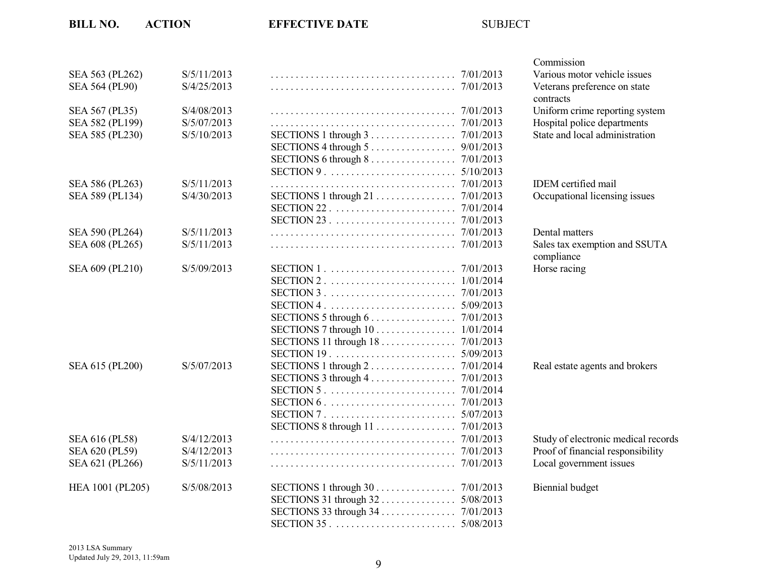|                       |             |                                                                            | Commission                          |
|-----------------------|-------------|----------------------------------------------------------------------------|-------------------------------------|
| SEA 563 (PL262)       | S/5/11/2013 | 7/01/2013                                                                  | Various motor vehicle issues        |
| <b>SEA 564 (PL90)</b> | S/4/25/2013 |                                                                            | Veterans preference on state        |
|                       |             |                                                                            | contracts                           |
| SEA 567 (PL35)        | S/4/08/2013 |                                                                            | Uniform crime reporting system      |
| SEA 582 (PL199)       | S/5/07/2013 |                                                                            | Hospital police departments         |
| SEA 585 (PL230)       | S/5/10/2013 |                                                                            | State and local administration      |
|                       |             | SECTIONS 4 through $5 \ldots \ldots \ldots \ldots$<br>9/01/2013            |                                     |
|                       |             | SECTIONS 6 through $8 \ldots \ldots \ldots \ldots \ldots \ldots$ 7/01/2013 |                                     |
|                       |             | 5/10/2013                                                                  |                                     |
| SEA 586 (PL263)       | S/5/11/2013 |                                                                            | IDEM certified mail                 |
| SEA 589 (PL134)       | S/4/30/2013 | SECTIONS 1 through 21 7/01/2013                                            | Occupational licensing issues       |
|                       |             |                                                                            |                                     |
|                       |             |                                                                            |                                     |
| SEA 590 (PL264)       | S/5/11/2013 |                                                                            | Dental matters                      |
| SEA 608 (PL265)       | S/5/11/2013 |                                                                            | Sales tax exemption and SSUTA       |
|                       |             |                                                                            | compliance                          |
| SEA 609 (PL210)       | S/5/09/2013 |                                                                            | Horse racing                        |
|                       |             |                                                                            |                                     |
|                       |             |                                                                            |                                     |
|                       |             |                                                                            |                                     |
|                       |             | SECTIONS 5 through 6 7/01/2013                                             |                                     |
|                       |             | SECTIONS 7 through $10$<br>1/01/2014                                       |                                     |
|                       |             | SECTIONS 11 through 18 7/01/2013                                           |                                     |
|                       |             |                                                                            |                                     |
| SEA 615 (PL200)       | S/5/07/2013 | SECTIONS 1 through $2 \ldots \ldots \ldots \ldots \ldots \ldots$ 7/01/2014 | Real estate agents and brokers      |
|                       |             |                                                                            |                                     |
|                       |             |                                                                            |                                     |
|                       |             |                                                                            |                                     |
|                       |             |                                                                            |                                     |
|                       |             |                                                                            |                                     |
| SEA 616 (PL58)        | S/4/12/2013 |                                                                            | Study of electronic medical records |
|                       | S/4/12/2013 |                                                                            |                                     |
| SEA 620 (PL59)        |             |                                                                            | Proof of financial responsibility   |
| SEA 621 (PL266)       | S/5/11/2013 |                                                                            | Local government issues             |
| HEA 1001 (PL205)      | S/5/08/2013 |                                                                            | <b>Biennial</b> budget              |
|                       |             |                                                                            |                                     |
|                       |             |                                                                            |                                     |
|                       |             |                                                                            |                                     |
|                       |             |                                                                            |                                     |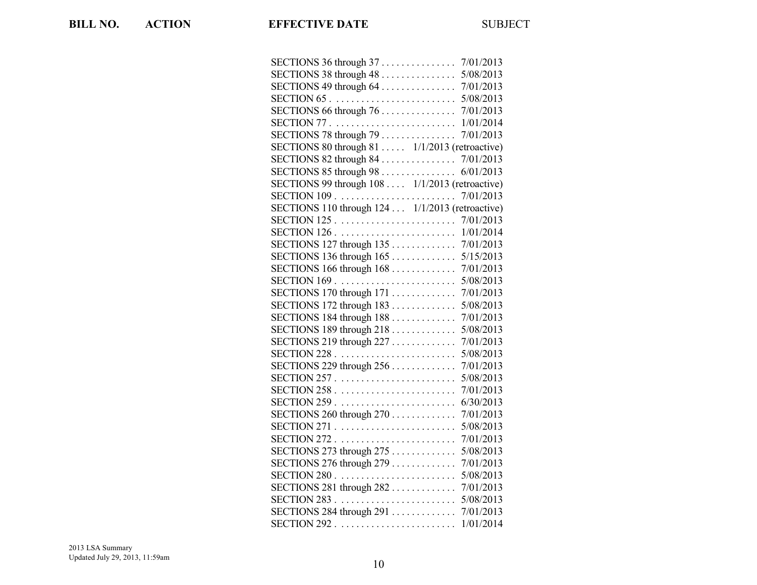| SECTIONS 36 through $37$<br>7/01/2013                                       |
|-----------------------------------------------------------------------------|
| SECTIONS 38 through 48<br>5/08/2013                                         |
| SECTIONS 49 through $64$<br>7/01/2013                                       |
| $SECTION 65 \ldots \ldots \ldots \ldots \ldots \ldots \ldots$<br>5/08/2013  |
| SECTIONS 66 through $76$<br>7/01/2013                                       |
| 1/01/2014                                                                   |
| SECTIONS 78 through 79<br>7/01/2013                                         |
| SECTIONS 80 through 81  1/1/2013 (retroactive)                              |
| SECTIONS 82 through 84<br>7/01/2013                                         |
| SECTIONS 85 through 98<br>6/01/2013                                         |
| SECTIONS 99 through 108  1/1/2013 (retroactive)                             |
| 7/01/2013                                                                   |
| SECTIONS 110 through 124  1/1/2013 (retroactive)                            |
| 7/01/2013                                                                   |
| SECTION $126$ .<br>1/01/2014                                                |
| SECTIONS 127 through $135$<br>7/01/2013                                     |
| SECTIONS 136 through $165$<br>5/15/2013                                     |
| SECTIONS 166 through $168$<br>7/01/2013                                     |
| $SECTION 169 \ldots \ldots \ldots \ldots \ldots \ldots \ldots$<br>5/08/2013 |
| SECTIONS 170 through $171$<br>7/01/2013                                     |
| SECTIONS 172 through $183$<br>5/08/2013                                     |
| SECTIONS 184 through 188<br>7/01/2013                                       |
| SECTIONS 189 through 218<br>5/08/2013                                       |
| SECTIONS 219 through $227$<br>7/01/2013                                     |
| 5/08/2013                                                                   |
| SECTIONS 229 through $256$<br>7/01/2013                                     |
| 5/08/2013                                                                   |
| 7/01/2013                                                                   |
| 6/30/2013                                                                   |
| SECTIONS 260 through $270$<br>7/01/2013                                     |
| 5/08/2013                                                                   |
| $SECTION 272 \ldots \ldots \ldots \ldots \ldots \ldots$<br>7/01/2013        |
| SECTIONS 273 through $275$<br>5/08/2013                                     |
| SECTIONS 276 through $279$<br>7/01/2013                                     |
| $SECTION 280 \ldots \ldots \ldots \ldots \ldots \ldots \ldots$<br>5/08/2013 |
| SECTIONS 281 through $282$<br>7/01/2013                                     |
| 5/08/2013                                                                   |
| SECTIONS 284 through 291<br>7/01/2013                                       |
| $SECTION 292 \ldots$<br>1/01/2014                                           |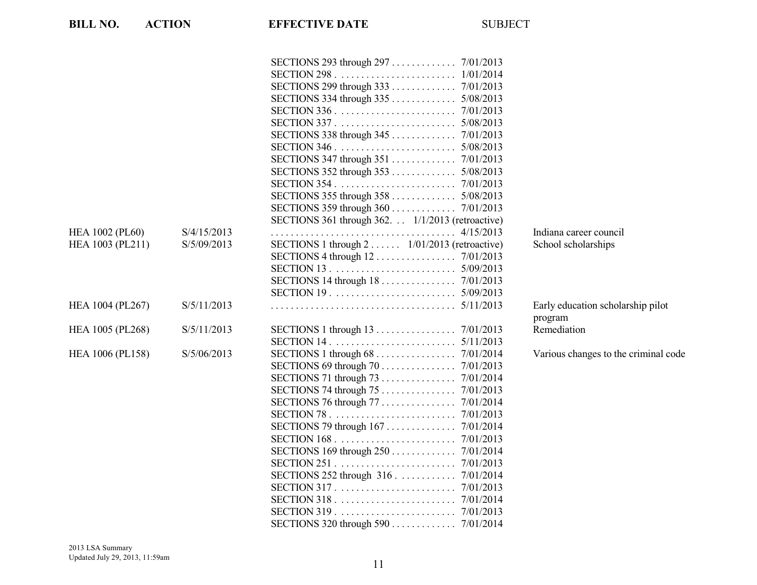| SECTION $346$ .<br>5/08/2013<br>SECTIONS $352$ through $353$<br>5/08/2013<br>SECTIONS 355 through 358  5/08/2013<br>SECTIONS 359 through 360 7/01/2013<br>SECTIONS 361 through 362. . 1/1/2013 (retroactive)<br>Indiana career council<br>S/4/15/2013<br>S/5/09/2013<br>SECTIONS 1 through 2 1/01/2013 (retroactive)<br>School scholarships<br>SECTIONS 14 through 18 7/01/2013<br>SECTION 19. $\ldots \ldots \ldots \ldots \ldots \ldots \ldots \ldots$ 5/09/2013<br>S/5/11/2013<br>Early education scholarship pilot<br>program<br>SECTIONS 1 through 13 7/01/2013<br>Remediation<br>S/5/11/2013<br>5/11/2013<br>S/5/06/2013<br>Various changes to the criminal code<br>SECTIONS 69 through 70<br>7/01/2013<br>SECTIONS 71 through $73$<br>7/01/2014<br>$SECTION 251$<br>7/01/2013<br>SECTIONS 252 through 316.<br>7/01/2014<br>7/01/2013 | <b>BILL NO.</b>        | <b>ACTION</b> | <b>EFFECTIVE DATE</b> | <b>SUBJECT</b> |  |
|---------------------------------------------------------------------------------------------------------------------------------------------------------------------------------------------------------------------------------------------------------------------------------------------------------------------------------------------------------------------------------------------------------------------------------------------------------------------------------------------------------------------------------------------------------------------------------------------------------------------------------------------------------------------------------------------------------------------------------------------------------------------------------------------------------------------------------------------|------------------------|---------------|-----------------------|----------------|--|
|                                                                                                                                                                                                                                                                                                                                                                                                                                                                                                                                                                                                                                                                                                                                                                                                                                             |                        |               |                       |                |  |
|                                                                                                                                                                                                                                                                                                                                                                                                                                                                                                                                                                                                                                                                                                                                                                                                                                             |                        |               |                       |                |  |
|                                                                                                                                                                                                                                                                                                                                                                                                                                                                                                                                                                                                                                                                                                                                                                                                                                             |                        |               |                       |                |  |
|                                                                                                                                                                                                                                                                                                                                                                                                                                                                                                                                                                                                                                                                                                                                                                                                                                             |                        |               |                       |                |  |
|                                                                                                                                                                                                                                                                                                                                                                                                                                                                                                                                                                                                                                                                                                                                                                                                                                             |                        |               |                       |                |  |
|                                                                                                                                                                                                                                                                                                                                                                                                                                                                                                                                                                                                                                                                                                                                                                                                                                             |                        |               |                       |                |  |
|                                                                                                                                                                                                                                                                                                                                                                                                                                                                                                                                                                                                                                                                                                                                                                                                                                             |                        |               |                       |                |  |
|                                                                                                                                                                                                                                                                                                                                                                                                                                                                                                                                                                                                                                                                                                                                                                                                                                             |                        |               |                       |                |  |
|                                                                                                                                                                                                                                                                                                                                                                                                                                                                                                                                                                                                                                                                                                                                                                                                                                             |                        |               |                       |                |  |
|                                                                                                                                                                                                                                                                                                                                                                                                                                                                                                                                                                                                                                                                                                                                                                                                                                             |                        |               |                       |                |  |
|                                                                                                                                                                                                                                                                                                                                                                                                                                                                                                                                                                                                                                                                                                                                                                                                                                             |                        |               |                       |                |  |
|                                                                                                                                                                                                                                                                                                                                                                                                                                                                                                                                                                                                                                                                                                                                                                                                                                             |                        |               |                       |                |  |
|                                                                                                                                                                                                                                                                                                                                                                                                                                                                                                                                                                                                                                                                                                                                                                                                                                             |                        |               |                       |                |  |
|                                                                                                                                                                                                                                                                                                                                                                                                                                                                                                                                                                                                                                                                                                                                                                                                                                             |                        |               |                       |                |  |
|                                                                                                                                                                                                                                                                                                                                                                                                                                                                                                                                                                                                                                                                                                                                                                                                                                             |                        |               |                       |                |  |
|                                                                                                                                                                                                                                                                                                                                                                                                                                                                                                                                                                                                                                                                                                                                                                                                                                             | <b>HEA 1002 (PL60)</b> |               |                       |                |  |
|                                                                                                                                                                                                                                                                                                                                                                                                                                                                                                                                                                                                                                                                                                                                                                                                                                             | HEA 1003 (PL211)       |               |                       |                |  |
|                                                                                                                                                                                                                                                                                                                                                                                                                                                                                                                                                                                                                                                                                                                                                                                                                                             |                        |               |                       |                |  |
|                                                                                                                                                                                                                                                                                                                                                                                                                                                                                                                                                                                                                                                                                                                                                                                                                                             |                        |               |                       |                |  |
|                                                                                                                                                                                                                                                                                                                                                                                                                                                                                                                                                                                                                                                                                                                                                                                                                                             |                        |               |                       |                |  |
|                                                                                                                                                                                                                                                                                                                                                                                                                                                                                                                                                                                                                                                                                                                                                                                                                                             |                        |               |                       |                |  |
|                                                                                                                                                                                                                                                                                                                                                                                                                                                                                                                                                                                                                                                                                                                                                                                                                                             | HEA 1004 (PL267)       |               |                       |                |  |
|                                                                                                                                                                                                                                                                                                                                                                                                                                                                                                                                                                                                                                                                                                                                                                                                                                             |                        |               |                       |                |  |
|                                                                                                                                                                                                                                                                                                                                                                                                                                                                                                                                                                                                                                                                                                                                                                                                                                             | HEA 1005 (PL268)       |               |                       |                |  |
|                                                                                                                                                                                                                                                                                                                                                                                                                                                                                                                                                                                                                                                                                                                                                                                                                                             |                        |               |                       |                |  |
|                                                                                                                                                                                                                                                                                                                                                                                                                                                                                                                                                                                                                                                                                                                                                                                                                                             | HEA 1006 (PL158)       |               |                       |                |  |
|                                                                                                                                                                                                                                                                                                                                                                                                                                                                                                                                                                                                                                                                                                                                                                                                                                             |                        |               |                       |                |  |
|                                                                                                                                                                                                                                                                                                                                                                                                                                                                                                                                                                                                                                                                                                                                                                                                                                             |                        |               |                       |                |  |
|                                                                                                                                                                                                                                                                                                                                                                                                                                                                                                                                                                                                                                                                                                                                                                                                                                             |                        |               |                       |                |  |
|                                                                                                                                                                                                                                                                                                                                                                                                                                                                                                                                                                                                                                                                                                                                                                                                                                             |                        |               |                       |                |  |
|                                                                                                                                                                                                                                                                                                                                                                                                                                                                                                                                                                                                                                                                                                                                                                                                                                             |                        |               |                       |                |  |
|                                                                                                                                                                                                                                                                                                                                                                                                                                                                                                                                                                                                                                                                                                                                                                                                                                             |                        |               |                       |                |  |
|                                                                                                                                                                                                                                                                                                                                                                                                                                                                                                                                                                                                                                                                                                                                                                                                                                             |                        |               |                       |                |  |
|                                                                                                                                                                                                                                                                                                                                                                                                                                                                                                                                                                                                                                                                                                                                                                                                                                             |                        |               |                       |                |  |
|                                                                                                                                                                                                                                                                                                                                                                                                                                                                                                                                                                                                                                                                                                                                                                                                                                             |                        |               |                       |                |  |
|                                                                                                                                                                                                                                                                                                                                                                                                                                                                                                                                                                                                                                                                                                                                                                                                                                             |                        |               |                       |                |  |
|                                                                                                                                                                                                                                                                                                                                                                                                                                                                                                                                                                                                                                                                                                                                                                                                                                             |                        |               |                       |                |  |
|                                                                                                                                                                                                                                                                                                                                                                                                                                                                                                                                                                                                                                                                                                                                                                                                                                             |                        |               |                       |                |  |
|                                                                                                                                                                                                                                                                                                                                                                                                                                                                                                                                                                                                                                                                                                                                                                                                                                             |                        |               |                       |                |  |
|                                                                                                                                                                                                                                                                                                                                                                                                                                                                                                                                                                                                                                                                                                                                                                                                                                             |                        |               |                       |                |  |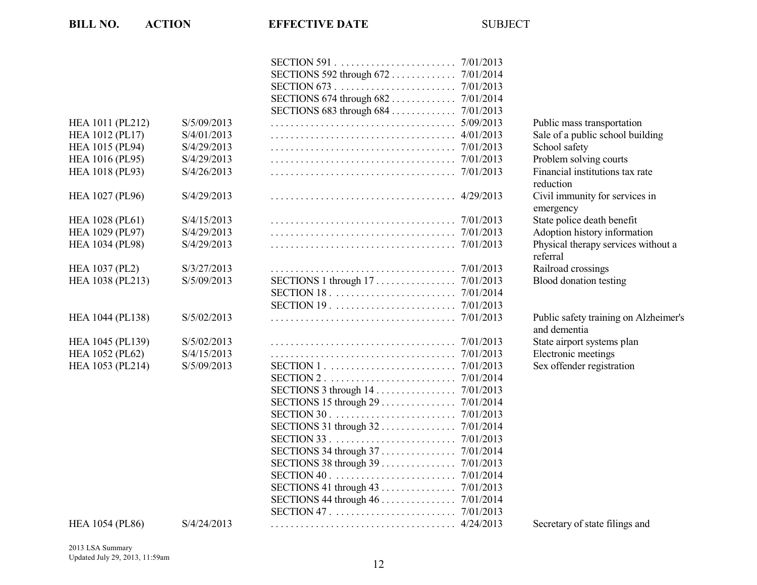|                        |             | SECTIONS 683 through 684<br>7/01/2013                                       |                             |
|------------------------|-------------|-----------------------------------------------------------------------------|-----------------------------|
| HEA 1011 (PL212)       | S/5/09/2013 | 5/09/2013                                                                   | Public mass t               |
| <b>HEA 1012 (PL17)</b> | S/4/01/2013 | 4/01/2013                                                                   | Sale of a publ              |
| HEA 1015 (PL94)        | S/4/29/2013 | 7/01/2013                                                                   | School safety               |
| HEA 1016 (PL95)        | S/4/29/2013 | 7/01/2013                                                                   | Problem solv                |
| HEA 1018 (PL93)        | S/4/26/2013 | 7/01/2013                                                                   | Financial inst<br>reduction |
| <b>HEA 1027 (PL96)</b> | S/4/29/2013 | 4/29/2013                                                                   | Civil immuni<br>emergency   |
| <b>HEA 1028 (PL61)</b> | S/4/15/2013 |                                                                             | State police d              |
| HEA 1029 (PL97)        | S/4/29/2013 |                                                                             | Adoption hist               |
| <b>HEA 1034 (PL98)</b> | S/4/29/2013 |                                                                             | Physical thera<br>referral  |
| <b>HEA 1037 (PL2)</b>  | S/3/27/2013 | 7/01/2013                                                                   | Railroad cros               |
| HEA 1038 (PL213)       | S/5/09/2013 |                                                                             | Blood donatio               |
|                        |             |                                                                             |                             |
|                        |             | SECTION $19. \ldots \ldots \ldots \ldots \ldots \ldots \ldots$<br>7/01/2013 |                             |
| HEA 1044 (PL138)       | S/5/02/2013 | 7/01/2013                                                                   | Public safety               |
|                        |             |                                                                             | and dementia                |
| HEA 1045 (PL139)       | S/5/02/2013 | 7/01/2013                                                                   | State airport s             |
| <b>HEA 1052 (PL62)</b> | S/4/15/2013 |                                                                             | Electronic me               |
| HEA 1053 (PL214)       | S/5/09/2013 |                                                                             | Sex offender                |
|                        |             |                                                                             |                             |
|                        |             | SECTIONS 3 through $14$<br>7/01/2013                                        |                             |
|                        |             | SECTIONS 15 through $29$<br>7/01/2014                                       |                             |
|                        |             | 7/01/2013                                                                   |                             |
|                        |             |                                                                             |                             |
|                        |             |                                                                             |                             |
|                        |             |                                                                             |                             |
|                        |             | SECTIONS 38 through $39$<br>7/01/2013                                       |                             |
|                        |             | 7/01/2014                                                                   |                             |
|                        |             | SECTIONS 41 through $43$<br>7/01/2013                                       |                             |
|                        |             |                                                                             |                             |
|                        |             | 7/01/2013                                                                   |                             |
| <b>HEA 1054 (PL86)</b> | S/4/24/2013 |                                                                             | Secretary of s              |
|                        |             |                                                                             |                             |

Public mass transportation Sale of a public school building<br>School safety Problem solving courts Financial institutions tax rate reduction Civil immunity for services in emergency State police death benefit Adoption history information Physical therapy services without a referral Railroad crossings Blood donation testing

Public safety training on Alzheimer's and dementia State airport systems plan Electronic meetings Sex offender registration

Secretary of state filings and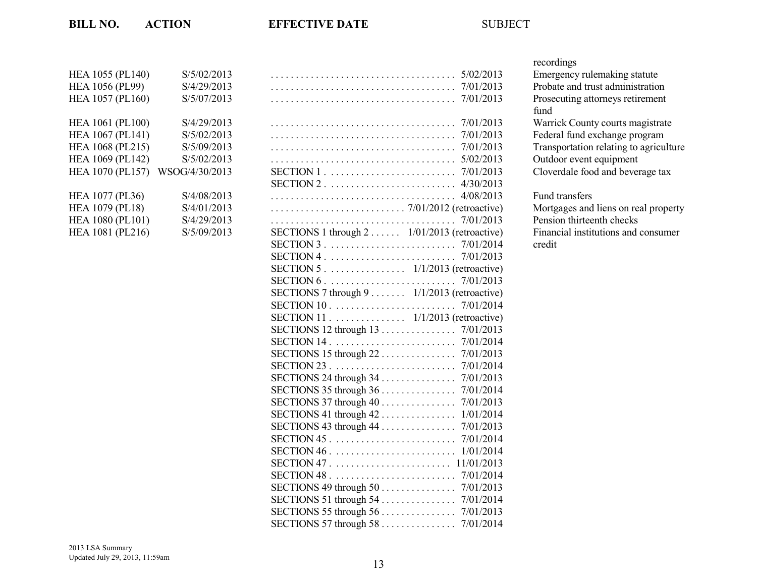| HEA 1055 (PL140)       | S/5/02/2013    |
|------------------------|----------------|
| <b>HEA 1056 (PL99)</b> | S/4/29/2013    |
| HEA 1057 (PL160)       | S/5/07/2013    |
| HEA 1061 (PL100)       | S/4/29/2013    |
| HEA 1067 (PL141)       | S/5/02/2013    |
| HEA 1068 (PL215)       | S/5/09/2013    |
| HEA 1069 (PL142)       | S/5/02/2013    |
| HEA 1070 (PL157)       | WSOG/4/30/2013 |
| HEA 1077 (PL36)        | S/4/08/2013    |
| HEA 1079 (PL18)        | S/4/01/2013    |
| HEA 1080 (PL101)       | S/4/29/2013    |
| HEA 1081 (PL216)       | S/5/09/2013    |

| <b>HEA 1055 (PL140)</b><br><b>HEA 1056 (PL99)</b><br><b>HEA 1057 (PL160)</b>  | S/5/02/2013<br>S/4/29/2013<br>S/5/07/2013 |                                                                                                         | Emergency rul<br>Probate and tr<br>Prosecuting at        |
|-------------------------------------------------------------------------------|-------------------------------------------|---------------------------------------------------------------------------------------------------------|----------------------------------------------------------|
| <b>HEA 1061 (PL100)</b><br><b>HEA 1067 (PL141)</b><br><b>HEA 1068 (PL215)</b> | S/4/29/2013<br>S/5/02/2013<br>S/5/09/2013 |                                                                                                         | fund<br>Warrick Coun<br>Federal fund e<br>Transportation |
| <b>HEA 1069 (PL142)</b><br><b>HEA 1070 (PL157)</b>                            | S/5/02/2013<br>WSOG/4/30/2013             |                                                                                                         | Outdoor event<br>Cloverdale for                          |
| <b>HEA 1077 (PL36)</b>                                                        | S/4/08/2013                               |                                                                                                         | Fund transfers                                           |
| <b>HEA 1079 (PL18)</b><br><b>HEA 1080 (PL101)</b>                             | S/4/01/2013<br>S/4/29/2013                |                                                                                                         | Mortgages and<br>Pension thirtee                         |
| <b>HEA 1081 (PL216)</b>                                                       | S/5/09/2013                               | SECTIONS 1 through $2 \ldots \ldots \ldots$ 1/01/2013 (retroactive)<br>SECTION 5 1/1/2013 (retroactive) | Financial insti<br>credit                                |
|                                                                               |                                           | SECTIONS 7 through $9 \ldots 1/1/2013$ (retroactive)<br>SECTION 11 1/1/2013 (retroactive)               |                                                          |
|                                                                               |                                           |                                                                                                         |                                                          |
|                                                                               |                                           | SECTIONS 24 through 34 7/01/2013                                                                        |                                                          |
|                                                                               |                                           |                                                                                                         |                                                          |
|                                                                               |                                           |                                                                                                         |                                                          |
|                                                                               |                                           |                                                                                                         |                                                          |
|                                                                               |                                           |                                                                                                         |                                                          |
|                                                                               |                                           |                                                                                                         |                                                          |
|                                                                               |                                           |                                                                                                         |                                                          |

## recordings

Emergency rulemaking statute Probate and trust administration Prosecuting attorneys retirement fund Warrick County courts magistrate Federal fund exchange program Transportation relating to agriculture Outdoor event equipment Cloverdale food and beverage tax

Mortgages and liens on real property Pension thirteenth checks Financial institutions and consumer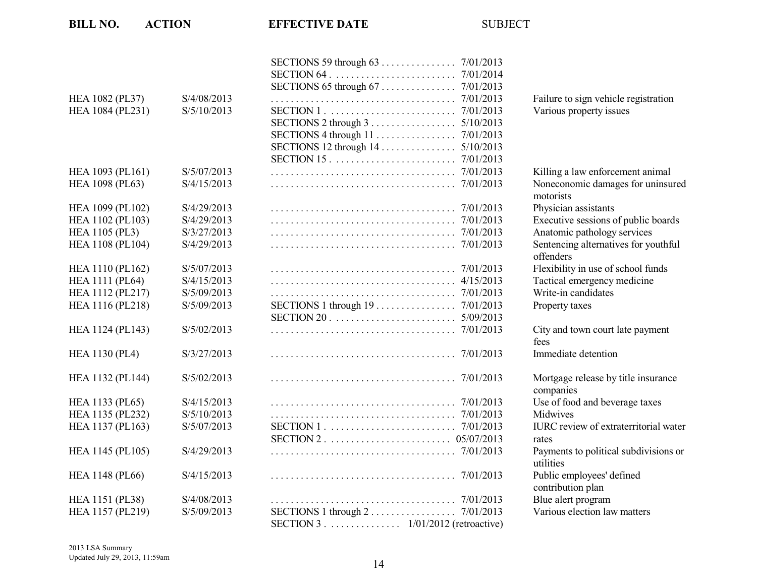| <b>BILL NO.</b>        | <b>ACTION</b> | <b>EFFECTIVE DATE</b>                                         | <b>SUBJECT</b> |                                                    |
|------------------------|---------------|---------------------------------------------------------------|----------------|----------------------------------------------------|
|                        |               |                                                               |                |                                                    |
| <b>HEA 1082 (PL37)</b> | S/4/08/2013   |                                                               | 7/01/2013      | Failure to sign vehicle registration               |
| HEA 1084 (PL231)       | S/5/10/2013   |                                                               | 7/01/2013      | Various property issues                            |
|                        |               |                                                               | 5/10/2013      |                                                    |
|                        |               |                                                               |                |                                                    |
|                        |               |                                                               |                |                                                    |
|                        |               |                                                               |                |                                                    |
| HEA 1093 (PL161)       | S/5/07/2013   |                                                               |                | Killing a law enforcement animal                   |
| HEA 1098 (PL63)        | S/4/15/2013   |                                                               |                | Noneconomic damages for uninsured<br>motorists     |
| HEA 1099 (PL102)       | S/4/29/2013   |                                                               |                | Physician assistants                               |
| HEA 1102 (PL103)       | S/4/29/2013   |                                                               |                | Executive sessions of public boards                |
| <b>HEA 1105 (PL3)</b>  | S/3/27/2013   |                                                               |                | Anatomic pathology services                        |
| HEA 1108 (PL104)       | S/4/29/2013   |                                                               |                | Sentencing alternatives for youthful               |
|                        |               |                                                               |                | offenders                                          |
| HEA 1110 (PL162)       | S/5/07/2013   |                                                               |                | Flexibility in use of school funds                 |
| <b>HEA 1111 (PL64)</b> | S/4/15/2013   |                                                               |                | Tactical emergency medicine                        |
| HEA 1112 (PL217)       | S/5/09/2013   |                                                               | 7/01/2013      | Write-in candidates                                |
| HEA 1116 (PL218)       | S/5/09/2013   | SECTIONS 1 through $19$                                       | 7/01/2013      | Property taxes                                     |
|                        |               | $SECTION 20 \ldots \ldots \ldots \ldots \ldots \ldots \ldots$ | 5/09/2013      |                                                    |
| HEA 1124 (PL143)       | S/5/02/2013   |                                                               |                | City and town court late payment<br>fees           |
| <b>HEA 1130 (PL4)</b>  | S/3/27/2013   |                                                               |                | Immediate detention                                |
| HEA 1132 (PL144)       | S/5/02/2013   |                                                               |                | Mortgage release by title insurance<br>companies   |
| HEA 1133 (PL65)        | S/4/15/2013   |                                                               |                | Use of food and beverage taxes                     |
| HEA 1135 (PL232)       | S/5/10/2013   |                                                               |                | Midwives                                           |
| HEA 1137 (PL163)       | S/5/07/2013   |                                                               |                | <b>IURC</b> review of extraterritorial water       |
|                        |               |                                                               |                | rates                                              |
| HEA 1145 (PL105)       | S/4/29/2013   |                                                               |                | Payments to political subdivisions or<br>utilities |
| <b>HEA 1148 (PL66)</b> | S/4/15/2013   |                                                               |                | Public employees' defined<br>contribution plan     |
| HEA 1151 (PL38)        | S/4/08/2013   |                                                               |                | Blue alert program                                 |
| HEA 1157 (PL219)       | S/5/09/2013   | SECTIONS $1$ through $2$<br>SECTION 3 1/01/2012 (retroactive) | 7/01/2013      | Various election law matters                       |

| Killing a law enforcement animal             |
|----------------------------------------------|
| Noneconomic damages for uninsured            |
| motorists                                    |
| Physician assistants                         |
| Executive sessions of public boards          |
| Anatomic pathology services                  |
| Sentencing alternatives for youthful         |
| offenders                                    |
| Flexibility in use of school funds           |
| Tactical emergency medicine                  |
| Write-in candidates                          |
| Property taxes                               |
|                                              |
| City and town court late payment             |
| fees                                         |
| Immediate detention                          |
|                                              |
| Mortgage release by title insurance          |
| companies                                    |
| Use of food and beverage taxes               |
| Midwives                                     |
| <b>IURC</b> review of extraterritorial water |
| rates                                        |
| Payments to political subdivisions or        |
| utilities                                    |
| Public employees' defined                    |
| contribution plan                            |
| Blue alert program                           |
| Various election law matters                 |
|                                              |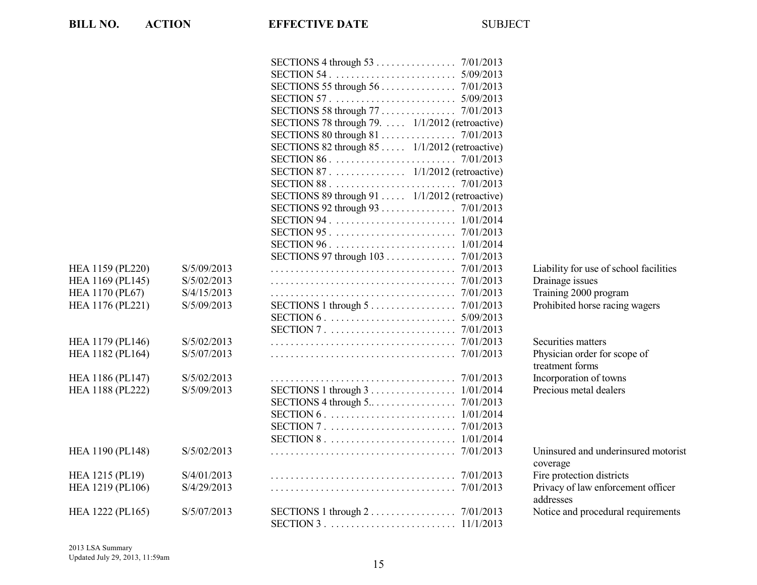|                  |             | SECTIONS 78 through 79.  1/1/2012 (retroactive)                            |                                                 |
|------------------|-------------|----------------------------------------------------------------------------|-------------------------------------------------|
|                  |             |                                                                            |                                                 |
|                  |             | SECTIONS 82 through $85$ $1/1/2012$ (retroactive)                          |                                                 |
|                  |             |                                                                            |                                                 |
|                  |             | SECTION 87 1/1/2012 (retroactive)                                          |                                                 |
|                  |             |                                                                            |                                                 |
|                  |             | SECTIONS 89 through 91  1/1/2012 (retroactive)                             |                                                 |
|                  |             |                                                                            |                                                 |
|                  |             |                                                                            |                                                 |
|                  |             |                                                                            |                                                 |
|                  |             |                                                                            |                                                 |
|                  |             |                                                                            |                                                 |
| HEA 1159 (PL220) | S/5/09/2013 |                                                                            | Liability for use of school facilities          |
| HEA 1169 (PL145) | S/5/02/2013 |                                                                            | Drainage issues                                 |
| HEA 1170 (PL67)  | S/4/15/2013 |                                                                            | Training 2000 program                           |
| HEA 1176 (PL221) | S/5/09/2013 | SECTIONS 1 through 5 7/01/2013                                             | Prohibited horse racing wagers                  |
|                  |             |                                                                            |                                                 |
|                  |             |                                                                            |                                                 |
| HEA 1179 (PL146) | S/5/02/2013 |                                                                            | Securities matters                              |
| HEA 1182 (PL164) | S/5/07/2013 |                                                                            | Physician order for scope of                    |
|                  |             |                                                                            | treatment forms                                 |
| HEA 1186 (PL147) | S/5/02/2013 |                                                                            | Incorporation of towns                          |
| HEA 1188 (PL222) | S/5/09/2013 | SECTIONS 1 through $3 \ldots \ldots \ldots \ldots \ldots 1/01/2014$        | Precious metal dealers                          |
|                  |             | SECTIONS 4 through $5 \ldots \ldots \ldots \ldots \ldots \ldots$ 7/01/2013 |                                                 |
|                  |             |                                                                            |                                                 |
|                  |             |                                                                            |                                                 |
|                  |             |                                                                            |                                                 |
| HEA 1190 (PL148) | S/5/02/2013 |                                                                            | Uninsured and underinsured motorist<br>coverage |
| HEA 1215 (PL19)  | S/4/01/2013 |                                                                            | Fire protection districts                       |
| HEA 1219 (PL106) | S/4/29/2013 |                                                                            | Privacy of law enforcement officer              |
|                  |             |                                                                            | addresses                                       |
| HEA 1222 (PL165) | S/5/07/2013 | SECTIONS 1 through $2 \ldots \ldots \ldots \ldots \ldots \ldots$ 7/01/2013 | Notice and procedural requirements              |
|                  |             |                                                                            |                                                 |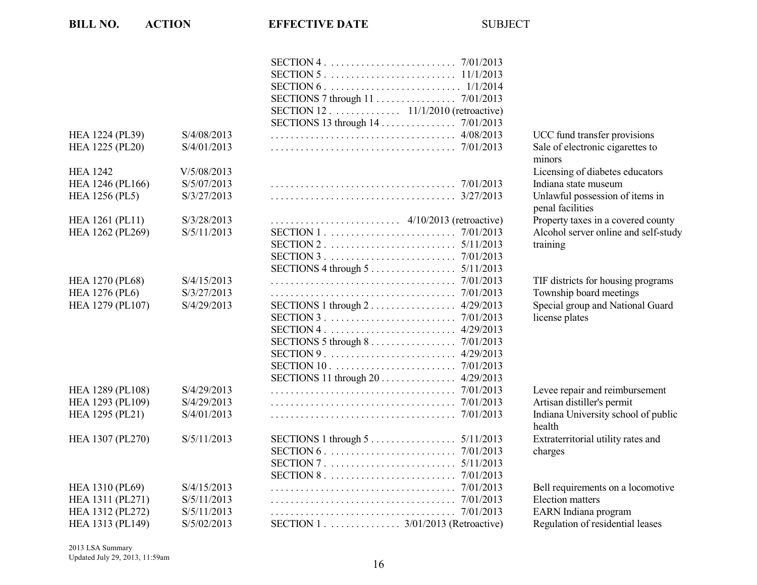|                        |             | SECTION 12. $\dots$ . $11/1/2010$ (retroactive)                            |                                      |
|------------------------|-------------|----------------------------------------------------------------------------|--------------------------------------|
|                        |             |                                                                            |                                      |
| HEA 1224 (PL39)        | S/4/08/2013 |                                                                            | UCC fund transfer provisions         |
| HEA 1225 (PL20)        | S/4/01/2013 |                                                                            | Sale of electronic cigarettes to     |
|                        |             |                                                                            | minors                               |
| <b>HEA 1242</b>        | V/5/08/2013 |                                                                            | Licensing of diabetes educators      |
| HEA 1246 (PL166)       | S/5/07/2013 |                                                                            | Indiana state museum                 |
| <b>HEA 1256 (PL5)</b>  | S/3/27/2013 |                                                                            | Unlawful possession of items in      |
|                        |             |                                                                            | penal facilities                     |
| <b>HEA 1261 (PL11)</b> | S/3/28/2013 |                                                                            | Property taxes in a covered county   |
| HEA 1262 (PL269)       | S/5/11/2013 |                                                                            | Alcohol server online and self-study |
|                        |             |                                                                            | training                             |
|                        |             |                                                                            |                                      |
|                        |             | SECTIONS 4 through $5 \ldots \ldots \ldots \ldots \ldots \ldots 5/11/2013$ |                                      |
| <b>HEA 1270 (PL68)</b> | S/4/15/2013 |                                                                            | TIF districts for housing programs   |
| <b>HEA 1276 (PL6)</b>  | S/3/27/2013 |                                                                            | Township board meetings              |
| HEA 1279 (PL107)       | S/4/29/2013 | SECTIONS $1$ through $2$<br>4/29/2013                                      | Special group and National Guard     |
|                        |             |                                                                            | license plates                       |
|                        |             |                                                                            |                                      |
|                        |             | SECTIONS 5 through 8 7/01/2013                                             |                                      |
|                        |             | 4/29/2013                                                                  |                                      |
|                        |             | 7/01/2013                                                                  |                                      |
|                        |             | SECTIONS 11 through 20 4/29/2013                                           |                                      |
| HEA 1289 (PL108)       | S/4/29/2013 |                                                                            | Levee repair and reimbursement       |
| HEA 1293 (PL109)       | S/4/29/2013 |                                                                            | Artisan distiller's permit           |
| HEA 1295 (PL21)        | S/4/01/2013 |                                                                            | Indiana University school of public  |
|                        |             |                                                                            | health                               |
| HEA 1307 (PL270)       | S/5/11/2013 | SECTIONS 1 through $5 \ldots \ldots \ldots \ldots \ldots \ldots 5/11/2013$ | Extraterritorial utility rates and   |
|                        |             |                                                                            | charges                              |
|                        |             |                                                                            |                                      |
|                        |             |                                                                            |                                      |
| HEA 1310 (PL69)        | S/4/15/2013 |                                                                            | Bell requirements on a locomotive    |
| HEA 1311 (PL271)       | S/5/11/2013 | 7/01/2013                                                                  | Election matters                     |
| HEA 1312 (PL272)       | S/5/11/2013 | 7/01/2013                                                                  | EARN Indiana program                 |
| HEA 1313 (PL149)       | S/5/02/2013 | SECTION 1 . $\dots$ $3/01/2013$ (Retroactive)                              | Regulation of residential leases     |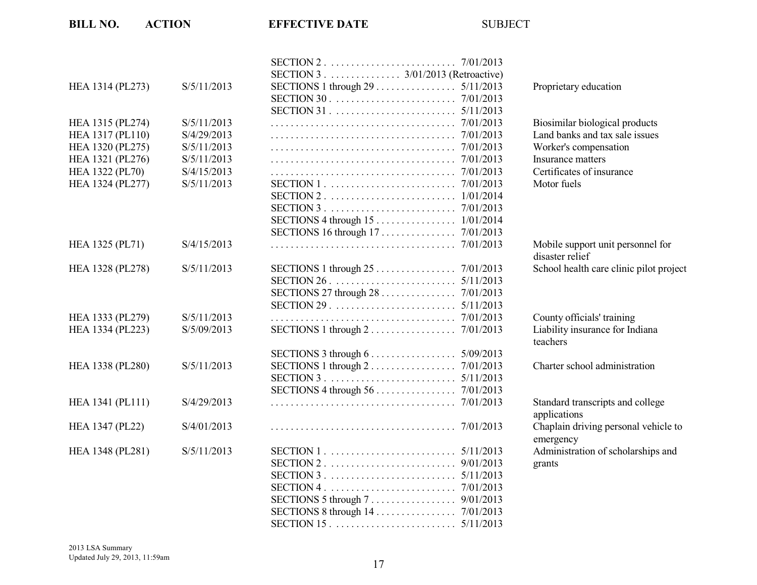| <b>BILL NO.</b>        | <b>ACTION</b> | <b>EFFECTIVE DATE</b>                                                           | <b>SUBJECT</b> |                                                      |
|------------------------|---------------|---------------------------------------------------------------------------------|----------------|------------------------------------------------------|
|                        |               | SECTION 3 3/01/2013 (Retroactive)                                               |                |                                                      |
| HEA 1314 (PL273)       | S/5/11/2013   | SECTION 30. $\ldots \ldots \ldots \ldots \ldots \ldots \ldots \ldots$ 7/01/2013 |                | Proprietary education                                |
| HEA 1315 (PL274)       | S/5/11/2013   |                                                                                 |                | Biosimilar biological products                       |
| HEA 1317 (PL110)       | S/4/29/2013   |                                                                                 |                | Land banks and tax sale issues                       |
| HEA 1320 (PL275)       | S/5/11/2013   |                                                                                 |                | Worker's compensation                                |
| HEA 1321 (PL276)       | S/5/11/2013   |                                                                                 |                | Insurance matters                                    |
| <b>HEA 1322 (PL70)</b> | S/4/15/2013   |                                                                                 |                | Certificates of insurance                            |
| HEA 1324 (PL277)       | S/5/11/2013   |                                                                                 |                | Motor fuels                                          |
|                        |               |                                                                                 |                |                                                      |
|                        |               |                                                                                 |                |                                                      |
|                        |               |                                                                                 |                |                                                      |
|                        |               | SECTIONS 16 through 17 7/01/2013                                                |                |                                                      |
| HEA 1325 (PL71)        | S/4/15/2013   |                                                                                 |                | Mobile support unit personnel for<br>disaster relief |
| HEA 1328 (PL278)       | S/5/11/2013   |                                                                                 |                | School health care clinic pilot project              |
|                        |               |                                                                                 |                |                                                      |
|                        |               | SECTIONS 27 through 28 7/01/2013                                                |                |                                                      |
|                        |               |                                                                                 | 5/11/2013      |                                                      |
| HEA 1333 (PL279)       | S/5/11/2013   |                                                                                 |                | County officials' training                           |
| HEA 1334 (PL223)       | S/5/09/2013   | SECTIONS 1 through $2 \ldots \ldots \ldots \ldots \ldots \ldots$ 7/01/2013      |                | Liability insurance for Indiana<br>teachers          |
|                        |               | SECTIONS 3 through $6 \ldots \ldots \ldots \ldots \ldots 5/09/2013$             |                |                                                      |
| HEA 1338 (PL280)       | S/5/11/2013   | SECTIONS 1 through $2 \ldots \ldots \ldots \ldots \ldots \ldots$ 7/01/2013      |                | Charter school administration                        |
|                        |               |                                                                                 |                |                                                      |
|                        |               |                                                                                 |                |                                                      |
| HEA 1341 (PL111)       | S/4/29/2013   |                                                                                 |                | Standard transcripts and college<br>applications     |
| HEA 1347 (PL22)        | S/4/01/2013   |                                                                                 |                | Chaplain driving personal vehicle to<br>emergency    |
| HEA 1348 (PL281)       | S/5/11/2013   |                                                                                 |                | Administration of scholarships and                   |
|                        |               |                                                                                 |                | grants                                               |
|                        |               |                                                                                 |                |                                                      |
|                        |               |                                                                                 |                |                                                      |
|                        |               | SECTIONS 5 through 7 9/01/2013                                                  |                |                                                      |
|                        |               |                                                                                 |                |                                                      |
|                        |               |                                                                                 |                |                                                      |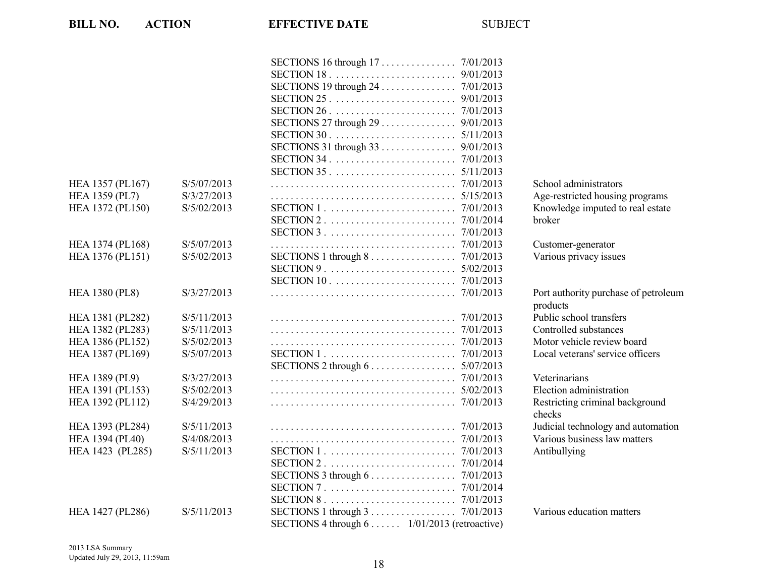| <b>BILL NO.</b>        | <b>ACTION</b>              | <b>EFFECTIVE DATE</b>                                                                    | <b>SUBJECT</b> |                          |
|------------------------|----------------------------|------------------------------------------------------------------------------------------|----------------|--------------------------|
|                        |                            |                                                                                          |                |                          |
|                        |                            |                                                                                          |                |                          |
|                        |                            |                                                                                          |                |                          |
|                        |                            |                                                                                          |                |                          |
|                        |                            |                                                                                          |                |                          |
|                        |                            |                                                                                          |                |                          |
|                        |                            | SECTIONS 27 through 29 9/01/2013                                                         |                |                          |
|                        |                            | SECTIONS 31 through $33$                                                                 | 5/11/2013      |                          |
|                        |                            |                                                                                          | 9/01/2013      |                          |
|                        |                            |                                                                                          | 7/01/2013      |                          |
|                        |                            | $SECTION 35$                                                                             | 5/11/2013      |                          |
| HEA 1357 (PL167)       | S/5/07/2013<br>S/3/27/2013 |                                                                                          |                | School admir             |
| <b>HEA 1359 (PL7)</b>  | S/5/02/2013                |                                                                                          |                | Age-restricte            |
| HEA 1372 (PL150)       |                            |                                                                                          |                | Knowledge in             |
|                        |                            |                                                                                          |                | broker                   |
|                        |                            |                                                                                          |                |                          |
| HEA 1374 (PL168)       | S/5/07/2013                |                                                                                          |                | Customer-ger             |
| HEA 1376 (PL151)       | S/5/02/2013                | SECTIONS 1 through $8 \ldots \ldots \ldots \ldots \ldots \ldots \ldots \ldots$ 7/01/2013 |                | Various priva            |
|                        |                            |                                                                                          | 5/02/2013      |                          |
|                        |                            | SECTION 10. $\ldots \ldots \ldots \ldots \ldots \ldots \ldots \ldots$ 7/01/2013          |                |                          |
| <b>HEA 1380 (PL8)</b>  | S/3/27/2013                |                                                                                          |                | Port authority           |
|                        |                            |                                                                                          |                | products                 |
| HEA 1381 (PL282)       | S/5/11/2013                |                                                                                          |                | Public school            |
| HEA 1382 (PL283)       | S/5/11/2013                |                                                                                          | 7/01/2013      | Controlled su            |
| HEA 1386 (PL152)       | S/5/02/2013                |                                                                                          | 7/01/2013      | Motor vehicle            |
| HEA 1387 (PL169)       | S/5/07/2013                |                                                                                          | 7/01/2013      | Local veteran            |
|                        |                            | SECTIONS 2 through $6$                                                                   | 5/07/2013      |                          |
| <b>HEA 1389 (PL9)</b>  | S/3/27/2013                |                                                                                          | 7/01/2013      | Veterinarians            |
| HEA 1391 (PL153)       | S/5/02/2013                |                                                                                          | 5/02/2013      | Election adm             |
| HEA 1392 (PL112)       | S/4/29/2013                |                                                                                          | 7/01/2013      | Restricting cr<br>checks |
| HEA 1393 (PL284)       | S/5/11/2013                |                                                                                          |                | Judicial techn           |
| <b>HEA 1394 (PL40)</b> | S/4/08/2013                |                                                                                          |                | Various busir            |
| HEA 1423 (PL285)       | S/5/11/2013                |                                                                                          | 7/01/2013      | Antibullying             |
|                        |                            |                                                                                          |                |                          |
|                        |                            | SECTIONS 3 through $6 \ldots \ldots \ldots \ldots \ldots \ldots$ 7/01/2013               |                |                          |
|                        |                            |                                                                                          |                |                          |
|                        |                            |                                                                                          |                |                          |
| HEA 1427 (PL286)       | S/5/11/2013                |                                                                                          |                | Various educ             |
|                        |                            | SECTIONS 4 through 6 1/01/2013 (retroactive)                                             |                |                          |

school administrators Age-restricted housing programs Inowledge imputed to real estate

Lustomer-generator <sup>7</sup>arious privacy issues

Port authority purchase of petroleum products Public school transfers Controlled substances Motor vehicle review board ocal veterans' service officers

Election administration Restricting criminal background checks udicial technology and automation <sup>7</sup> arious business law matters

<sup>7</sup> arious education matters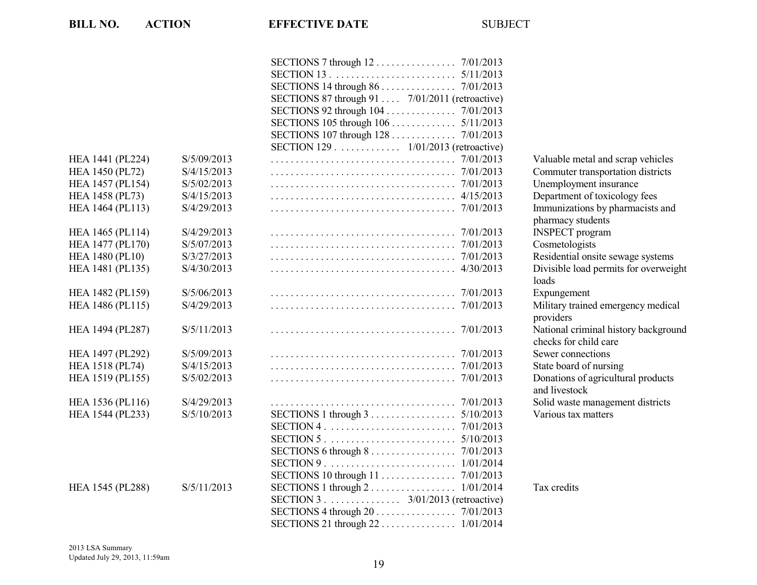| <b>BILL NO.</b>        | <b>ACTION</b> | <b>EFFECTIVE DATE</b>                                                                                                                                                                           | <b>SUBJECT</b> |                             |
|------------------------|---------------|-------------------------------------------------------------------------------------------------------------------------------------------------------------------------------------------------|----------------|-----------------------------|
|                        |               | SECTIONS 7 through 12 7/01/2013<br>SECTIONS 87 through 91  7/01/2011 (retroactive)<br>SECTIONS $105$ through $106$<br>SECTIONS 107 through 128 7/01/2013<br>SECTION 129 1/01/2013 (retroactive) | 5/11/2013      |                             |
| HEA 1441 (PL224)       | S/5/09/2013   |                                                                                                                                                                                                 |                | Valuable n                  |
| <b>HEA 1450 (PL72)</b> | S/4/15/2013   |                                                                                                                                                                                                 |                | Commuter                    |
| HEA 1457 (PL154)       | S/5/02/2013   |                                                                                                                                                                                                 |                | Unemployn                   |
| HEA 1458 (PL73)        | S/4/15/2013   |                                                                                                                                                                                                 |                | Departmen                   |
| HEA 1464 (PL113)       | S/4/29/2013   |                                                                                                                                                                                                 |                | Immunizati                  |
|                        |               |                                                                                                                                                                                                 |                | pharmacy s                  |
| HEA 1465 (PL114)       | S/4/29/2013   |                                                                                                                                                                                                 |                | <b>INSPECT</b> <sub>1</sub> |
| HEA 1477 (PL170)       | S/5/07/2013   |                                                                                                                                                                                                 |                | Cosmetolo                   |
| <b>HEA 1480 (PL10)</b> | S/3/27/2013   |                                                                                                                                                                                                 |                | Residential                 |
| HEA 1481 (PL135)       | S/4/30/2013   |                                                                                                                                                                                                 |                | Divisible lo<br>loads       |
| HEA 1482 (PL159)       | S/5/06/2013   |                                                                                                                                                                                                 |                | Expungem                    |
| HEA 1486 (PL115)       | S/4/29/2013   |                                                                                                                                                                                                 |                | Military tra                |
|                        |               |                                                                                                                                                                                                 |                | providers                   |
| HEA 1494 (PL287)       | S/5/11/2013   |                                                                                                                                                                                                 |                | National cr<br>checks for   |
| HEA 1497 (PL292)       | S/5/09/2013   |                                                                                                                                                                                                 |                | Sewer conn                  |
| HEA 1518 (PL74)        | S/4/15/2013   |                                                                                                                                                                                                 |                | State board                 |
| HEA 1519 (PL155)       | S/5/02/2013   |                                                                                                                                                                                                 |                | Donations                   |
|                        |               |                                                                                                                                                                                                 |                | and livesto                 |
| HEA 1536 (PL116)       | S/4/29/2013   |                                                                                                                                                                                                 |                | Solid wast                  |
| HEA 1544 (PL233)       | S/5/10/2013   | SECTIONS $1$ through $3$                                                                                                                                                                        | 5/10/2013      | Various tax                 |
|                        |               |                                                                                                                                                                                                 |                |                             |
|                        |               |                                                                                                                                                                                                 |                |                             |
|                        |               | SECTIONS 6 through $8 \ldots \ldots \ldots \ldots \ldots \ldots$ 7/01/2013                                                                                                                      |                |                             |
|                        |               |                                                                                                                                                                                                 |                |                             |
|                        |               |                                                                                                                                                                                                 |                |                             |
| HEA 1545 (PL288)       | S/5/11/2013   | SECTIONS 1 through $2 \ldots \ldots \ldots \ldots \ldots 1/01/2014$                                                                                                                             |                | Tax credits                 |
|                        |               | SECTION 3 3/01/2013 (retroactive)                                                                                                                                                               |                |                             |
|                        |               |                                                                                                                                                                                                 |                |                             |
|                        |               | SECTIONS 21 through 22 1/01/2014                                                                                                                                                                |                |                             |

Valuable metal and scrap vehicles Commuter transportation districts Unemployment insurance Department of toxicology fees Immunizations by pharmacists and pharmacy students INSPECT program Cosmetologists Residential onsite sewage systems Divisible load permits for overweight loads Expungement Military trained emergency medical providers National criminal history background checks for child care Sewer connections State board of nursing Donations of agricultural products and livestock Solid waste management districts Various tax matters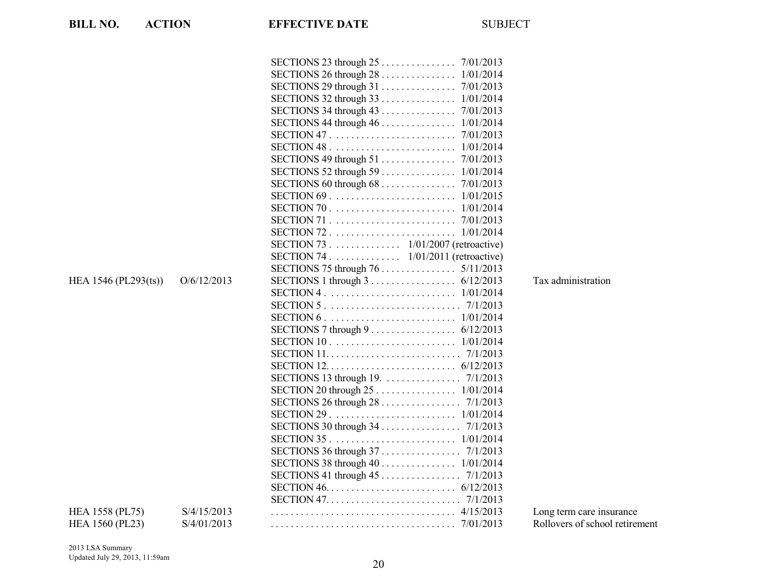| <b>BILL NO.</b><br><b>ACTION</b> |             | <b>EFFECTIVE DATE</b>                                                                                      | <b>SUBJECT</b> |                                |
|----------------------------------|-------------|------------------------------------------------------------------------------------------------------------|----------------|--------------------------------|
|                                  |             |                                                                                                            |                |                                |
|                                  |             |                                                                                                            |                |                                |
|                                  |             |                                                                                                            |                |                                |
|                                  |             |                                                                                                            |                |                                |
|                                  |             |                                                                                                            |                |                                |
|                                  |             | SECTIONS 44 through 46 1/01/2014                                                                           |                |                                |
|                                  |             |                                                                                                            |                |                                |
|                                  |             |                                                                                                            |                |                                |
|                                  |             |                                                                                                            |                |                                |
|                                  |             |                                                                                                            |                |                                |
|                                  |             |                                                                                                            |                |                                |
|                                  |             |                                                                                                            |                |                                |
|                                  |             |                                                                                                            |                |                                |
|                                  |             |                                                                                                            |                |                                |
|                                  |             |                                                                                                            |                |                                |
|                                  |             | SECTION 73 . $\ldots$ 1/01/2007 (retroactive)                                                              |                |                                |
|                                  |             | SECTION 74 1/01/2011 (retroactive)                                                                         |                |                                |
|                                  |             |                                                                                                            |                |                                |
| HEA 1546 (PL293(ts))             | O/6/12/2013 | SECTIONS 1 through $3 \ldots \ldots \ldots \ldots \ldots \ldots$ 6/12/2013                                 |                | Tax administration             |
|                                  |             |                                                                                                            |                |                                |
|                                  |             |                                                                                                            |                |                                |
|                                  |             |                                                                                                            |                |                                |
|                                  |             | SECTIONS 7 through $9 \ldots \ldots \ldots \ldots \ldots \ldots \ldots \ldots \ldots \ldots \ldots \ldots$ |                |                                |
|                                  |             | SECTION 10. $\ldots \ldots \ldots \ldots \ldots \ldots \ldots \ldots \ldots 1/01/2014$                     |                |                                |
|                                  |             |                                                                                                            |                |                                |
|                                  |             |                                                                                                            |                |                                |
|                                  |             | SECTIONS 13 through 19. 7/1/2013                                                                           |                |                                |
|                                  |             | SECTION 20 through 25 1/01/2014                                                                            |                |                                |
|                                  |             |                                                                                                            |                |                                |
|                                  |             |                                                                                                            |                |                                |
|                                  |             | SECTIONS 30 through 34 7/1/2013                                                                            |                |                                |
|                                  |             |                                                                                                            |                |                                |
|                                  |             |                                                                                                            |                |                                |
|                                  |             |                                                                                                            |                |                                |
|                                  |             |                                                                                                            |                |                                |
|                                  |             |                                                                                                            |                |                                |
|                                  |             |                                                                                                            |                |                                |
| HEA 1558 (PL75)                  | S/4/15/2013 |                                                                                                            |                | Long term care insurance       |
| HEA 1560 (PL23)                  | S/4/01/2013 |                                                                                                            |                | Rollovers of school retirement |